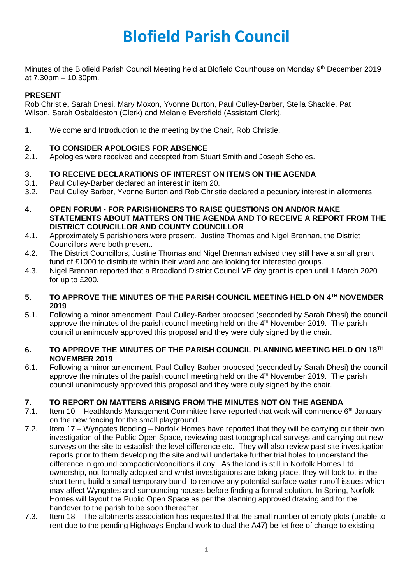# **Blofield Parish Council**

Minutes of the Blofield Parish Council Meeting held at Blofield Courthouse on Monday 9<sup>th</sup> December 2019 at 7.30pm – 10.30pm.

## **PRESENT**

Rob Christie, Sarah Dhesi, Mary Moxon, Yvonne Burton, Paul Culley-Barber, Stella Shackle, Pat Wilson, Sarah Osbaldeston (Clerk) and Melanie Eversfield (Assistant Clerk).

**1.** Welcome and Introduction to the meeting by the Chair, Rob Christie.

# **2. TO CONSIDER APOLOGIES FOR ABSENCE**

2.1. Apologies were received and accepted from Stuart Smith and Joseph Scholes.

# **3. TO RECEIVE DECLARATIONS OF INTEREST ON ITEMS ON THE AGENDA**

- 3.1. Paul Culley-Barber declared an interest in item 20.
- 3.2. Paul Culley Barber, Yvonne Burton and Rob Christie declared a pecuniary interest in allotments.
- **4. OPEN FORUM - FOR PARISHIONERS TO RAISE QUESTIONS ON AND/OR MAKE STATEMENTS ABOUT MATTERS ON THE AGENDA AND TO RECEIVE A REPORT FROM THE DISTRICT COUNCILLOR AND COUNTY COUNCILLOR**
- 4.1. Approximately 5 parishioners were present. Justine Thomas and Nigel Brennan, the District Councillors were both present.
- 4.2. The District Councillors, Justine Thomas and Nigel Brennan advised they still have a small grant fund of £1000 to distribute within their ward and are looking for interested groups.
- 4.3. Nigel Brennan reported that a Broadland District Council VE day grant is open until 1 March 2020 for up to £200.

## **5. TO APPROVE THE MINUTES OF THE PARISH COUNCIL MEETING HELD ON 4 TH NOVEMBER 2019**

5.1. Following a minor amendment, Paul Culley-Barber proposed (seconded by Sarah Dhesi) the council approve the minutes of the parish council meeting held on the 4<sup>th</sup> November 2019. The parish council unanimously approved this proposal and they were duly signed by the chair.

## **6. TO APPROVE THE MINUTES OF THE PARISH COUNCIL PLANNING MEETING HELD ON 18TH NOVEMBER 2019**

6.1. Following a minor amendment, Paul Culley-Barber proposed (seconded by Sarah Dhesi) the council approve the minutes of the parish council meeting held on the  $4<sup>th</sup>$  November 2019. The parish council unanimously approved this proposal and they were duly signed by the chair.

# **7. TO REPORT ON MATTERS ARISING FROM THE MINUTES NOT ON THE AGENDA**

- 7.1. Item 10 Heathlands Management Committee have reported that work will commence  $6<sup>th</sup>$  January on the new fencing for the small playground.
- 7.2. Item 17 Wyngates flooding Norfolk Homes have reported that they will be carrying out their own investigation of the Public Open Space, reviewing past topographical surveys and carrying out new surveys on the site to establish the level difference etc. They will also review past site investigation reports prior to them developing the site and will undertake further trial holes to understand the difference in ground compaction/conditions if any. As the land is still in Norfolk Homes Ltd ownership, not formally adopted and whilst investigations are taking place, they will look to, in the short term, build a small temporary bund to remove any potential surface water runoff issues which may affect Wyngates and surrounding houses before finding a formal solution. In Spring, Norfolk Homes will layout the Public Open Space as per the planning approved drawing and for the handover to the parish to be soon thereafter.
- 7.3. Item 18 The allotments association has requested that the small number of empty plots (unable to rent due to the pending Highways England work to dual the A47) be let free of charge to existing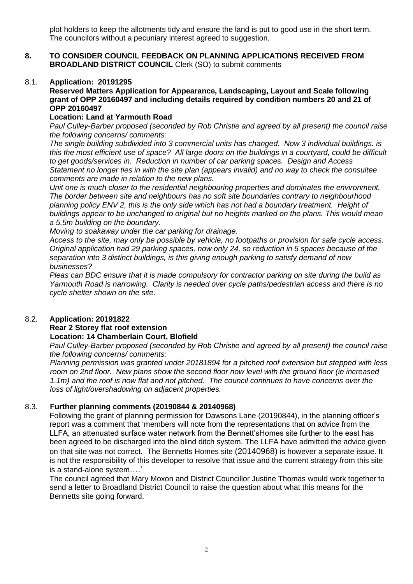plot holders to keep the allotments tidy and ensure the land is put to good use in the short term. The councilors without a pecuniary interest agreed to suggestion.

#### **8. TO CONSIDER COUNCIL FEEDBACK ON PLANNING APPLICATIONS RECEIVED FROM BROADLAND DISTRICT COUNCIL** Clerk (SO) to submit comments

#### 8.1. **Application: 20191295**

**Reserved Matters Application for Appearance, Landscaping, Layout and Scale following grant of OPP 20160497 and including details required by condition numbers 20 and 21 of OPP 20160497**

## **Location: Land at Yarmouth Road**

*Paul Culley-Barber proposed (seconded by Rob Christie and agreed by all present) the council raise the following concerns/ comments:* 

*The single building subdivided into 3 commercial units has changed. Now 3 individual buildings. is this the most efficient use of space? All large doors on the buildings in a courtyard, could be difficult to get goods/services in. Reduction in number of car parking spaces. Design and Access Statement no longer ties in with the site plan (appears invalid) and no way to check the consultee comments are made in relation to the new plans.*

*Unit one is much closer to the residential neighbouring properties and dominates the environment. The border between site and neighbours has no soft site boundaries contrary to neighbourhood planning policy ENV 2, this is the only side which has not had a boundary treatment. Height of buildings appear to be unchanged to original but no heights marked on the plans. This would mean a 5.5m building on the boundary.*

*Moving to soakaway under the car parking for drainage.*

Access to the site, may only be possible by vehicle, no footpaths or provision for safe cycle access. *Original application had 29 parking spaces, now only 24, so reduction in 5 spaces because of the separation into 3 distinct buildings, is this giving enough parking to satisfy demand of new businesses?*

*Pleas can BDC ensure that it is made compulsory for contractor parking on site during the build as Yarmouth Road is narrowing. Clarity is needed over cycle paths/pedestrian access and there is no cycle shelter shown on the site.*

## 8.2. **Application: 20191822 Rear 2 Storey flat roof extension Location: 14 Chamberlain Court, Blofield**

*Paul Culley-Barber proposed (seconded by Rob Christie and agreed by all present) the council raise the following concerns/ comments:* 

*Planning permission was granted under 20181894 for a pitched roof extension but stepped with less room on 2nd floor. New plans show the second floor now level with the ground floor (ie increased 1.1m) and the roof is now flat and not pitched. The council continues to have concerns over the loss of light/overshadowing on adjacent properties.*

## 8.3. **Further planning comments (20190844 & 20140968)**

Following the grant of planning permission for Dawsons Lane (20190844), in the planning officer's report was a comment that 'members will note from the representations that on advice from the LLFA, an attenuated surface water network from the Bennett'sHomes site further to the east has been agreed to be discharged into the blind ditch system. The LLFA have admitted the advice given on that site was not correct. The Bennetts Homes site (20140968) is however a separate issue. It is not the responsibility of this developer to resolve that issue and the current strategy from this site is a stand-alone system….'

The council agreed that Mary Moxon and District Councillor Justine Thomas would work together to send a letter to Broadland District Council to raise the question about what this means for the Bennetts site going forward.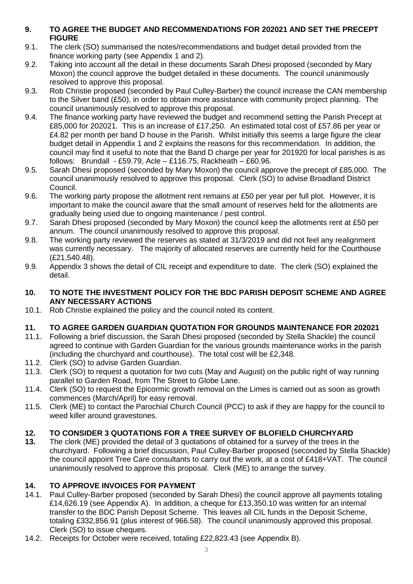# **9. TO AGREE THE BUDGET AND RECOMMENDATIONS FOR 202021 AND SET THE PRECEPT FIGURE**

- 9.1. The clerk (SO) summarised the notes/recommendations and budget detail provided from the finance working party (see Appendix 1 and 2).
- 9.2. Taking into account all the detail in these documents Sarah Dhesi proposed (seconded by Mary Moxon) the council approve the budget detailed in these documents. The council unanimously resolved to approve this proposal.
- 9.3. Rob Christie proposed (seconded by Paul Culley-Barber) the council increase the CAN membership to the Silver band (£50), in order to obtain more assistance with community project planning. The council unanimously resolved to approve this proposal.
- 9.4. The finance working party have reviewed the budget and recommend setting the Parish Precept at £85,000 for 202021. This is an increase of £17,250. An estimated total cost of £57.86 per year or £4.82 per month per band D house in the Parish. Whilst initially this seems a large figure the clear budget detail in Appendix 1 and 2 explains the reasons for this recommendation. In addition, the council may find it useful to note that the Band D charge per year for 201920 for local parishes is as follows: Brundall - £59.79, Acle – £116.75, Rackheath – £60.96.
- 9.5. Sarah Dhesi proposed (seconded by Mary Moxon) the council approve the precept of £85,000. The council unanimously resolved to approve this proposal. Clerk (SO) to advise Broadland District Council.
- 9.6. The working party propose the allotment rent remains at £50 per year per full plot. However, it is important to make the council aware that the small amount of reserves held for the allotments are gradually being used due to ongoing maintenance / pest control.
- 9.7. Sarah Dhesi proposed (seconded by Mary Moxon) the council keep the allotments rent at £50 per annum. The council unanimously resolved to approve this proposal.
- 9.8. The working party reviewed the reserves as stated at 31/3/2019 and did not feel any realignment was currently necessary. The majority of allocated reserves are currently held for the Courthouse (£21,540.48).
- 9.9. Appendix 3 shows the detail of CIL receipt and expenditure to date. The clerk (SO) explained the detail.

## **10. TO NOTE THE INVESTMENT POLICY FOR THE BDC PARISH DEPOSIT SCHEME AND AGREE ANY NECESSARY ACTIONS**

10.1. Rob Christie explained the policy and the council noted its content.

# **11. TO AGREE GARDEN GUARDIAN QUOTATION FOR GROUNDS MAINTENANCE FOR 202021**

- 11.1. Following a brief discussion, the Sarah Dhesi proposed (seconded by Stella Shackle) the council agreed to continue with Garden Guardian for the various grounds maintenance works in the parish (including the churchyard and courthouse). The total cost will be £2,348.
- 11.2. Clerk (SO) to advise Garden Guardian.
- 11.3. Clerk (SO) to request a quotation for two cuts (May and August) on the public right of way running parallel to Garden Road, from The Street to Globe Lane.
- 11.4. Clerk (SO) to request the Epicormic growth removal on the Limes is carried out as soon as growth commences (March/April) for easy removal.
- 11.5. Clerk (ME) to contact the Parochial Church Council (PCC) to ask if they are happy for the council to weed killer around gravestones.

# **12. TO CONSIDER 3 QUOTATIONS FOR A TREE SURVEY OF BLOFIELD CHURCHYARD**

**13.** The clerk (ME) provided the detail of 3 quotations of obtained for a survey of the trees in the churchyard. Following a brief discussion, Paul Culley-Barber proposed (seconded by Stella Shackle) the council appoint Tree Care consultants to carry out the work, at a cost of £418+VAT. The council unanimously resolved to approve this proposal. Clerk (ME) to arrange the survey.

# **14. TO APPROVE INVOICES FOR PAYMENT**

- 14.1. Paul Culley-Barber proposed (seconded by Sarah Dhesi) the council approve all payments totaling £14,626.19 (see Appendix A). In addition, a cheque for £13,350.10 was written for an internal transfer to the BDC Parish Deposit Scheme. This leaves all CIL funds in the Deposit Scheme, totaling £332,856.91 (plus interest of 966.58). The council unanimously approved this proposal. Clerk (SO) to issue cheques.
- 14.2. Receipts for October were received, totaling £22,823.43 (see Appendix B).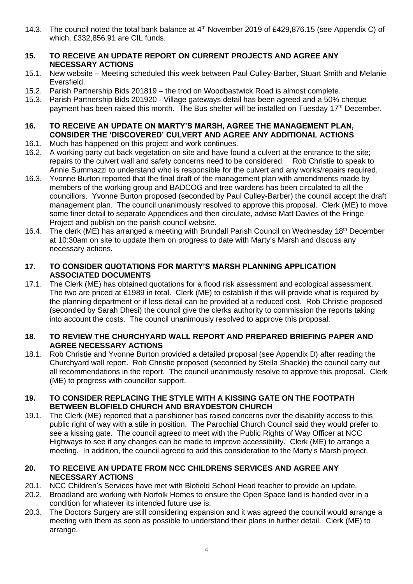- 14.3. The council noted the total bank balance at 4<sup>th</sup> November 2019 of £429,876.15 (see Appendix C) of which, £332,856.91 are CIL funds.
- **15. TO RECEIVE AN UPDATE REPORT ON CURRENT PROJECTS AND AGREE ANY NECESSARY ACTIONS**
- 15.1. New website Meeting scheduled this week between Paul Culley-Barber, Stuart Smith and Melanie Eversfield.
- 15.2. Parish Partnership Bids 201819 the trod on Woodbastwick Road is almost complete.
- 15.3. Parish Partnership Bids 201920 Village gateways detail has been agreed and a 50% cheque payment has been raised this month. The Bus shelter will be installed on Tuesday 17<sup>th</sup> December.
- **16. TO RECEIVE AN UPDATE ON MARTY'S MARSH, AGREE THE MANAGEMENT PLAN, CONSIDER THE 'DISCOVERED' CULVERT AND AGREE ANY ADDITIONAL ACTIONS**
- 16.1. Much has happened on this project and work continues.
- 16.2. A working party cut back vegetation on site and have found a culvert at the entrance to the site; repairs to the culvert wall and safety concerns need to be considered. Rob Christie to speak to Annie Summazzi to understand who is responsible for the culvert and any works/repairs required.
- 16.3. Yvonne Burton reported that the final draft of the management plan with amendments made by members of the working group and BADCOG and tree wardens has been circulated to all the councillors. Yvonne Burton proposed (seconded by Paul Culley-Barber) the council accept the draft management plan. The council unanimously resolved to approve this proposal. Clerk (ME) to move some finer detail to separate Appendices and then circulate, advise Matt Davies of the Fringe Project and publish on the parish council website.
- 16.4. The clerk (ME) has arranged a meeting with Brundall Parish Council on Wednesday 18<sup>th</sup> December at 10:30am on site to update them on progress to date with Marty's Marsh and discuss any necessary actions.

## **17. TO CONSIDER QUOTATIONS FOR MARTY'S MARSH PLANNING APPLICATION ASSOCIATED DOCUMENTS**

17.1. The Clerk (ME) has obtained quotations for a flood risk assessment and ecological assessment. The two are priced at £1989 in total. Clerk (ME) to establish if this will provide what is required by the planning department or if less detail can be provided at a reduced cost. Rob Christie proposed (seconded by Sarah Dhesi) the council give the clerks authority to commission the reports taking into account the costs. The council unanimously resolved to approve this proposal.

## **18. TO REVIEW THE CHURCHYARD WALL REPORT AND PREPARED BRIEFING PAPER AND AGREE NECESSARY ACTIONS**

18.1. Rob Christie and Yvonne Burton provided a detailed proposal (see Appendix D) after reading the Churchyard wall report. Rob Christie proposed (seconded by Stella Shackle) the council carry out all recommendations in the report. The council unanimously resolve to approve this proposal. Clerk (ME) to progress with councillor support.

## **19. TO CONSIDER REPLACING THE STYLE WITH A KISSING GATE ON THE FOOTPATH BETWEEN BLOFIELD CHURCH AND BRAYDESTON CHURCH**

19.1. The Clerk (ME) reported that a parishioner has raised concerns over the disability access to this public right of way with a stile in position. The Parochial Church Council said they would prefer to see a kissing gate. The council agreed to meet with the Public Rights of Way Officer at NCC Highways to see if any changes can be made to improve accessibility. Clerk (ME) to arrange a meeting. In addition, the council agreed to add this consideration to the Marty's Marsh project.

## **20. TO RECEIVE AN UPDATE FROM NCC CHILDRENS SERVICES AND AGREE ANY NECESSARY ACTIONS**

- 20.1. NCC Children's Services have met with Blofield School Head teacher to provide an update.
- 20.2. Broadland are working with Norfolk Homes to ensure the Open Space land is handed over in a condition for whatever its intended future use is.
- 20.3. The Doctors Surgery are still considering expansion and it was agreed the council would arrange a meeting with them as soon as possible to understand their plans in further detail. Clerk (ME) to arrange.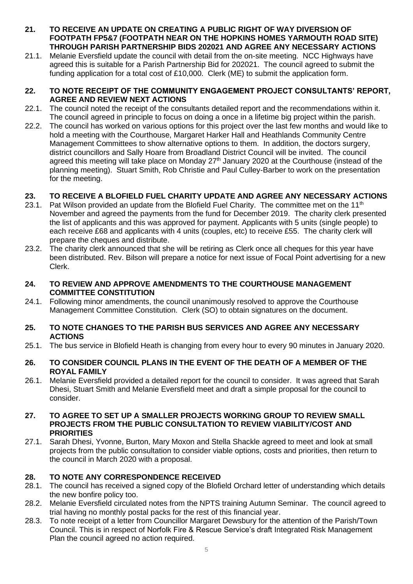- **21. TO RECEIVE AN UPDATE ON CREATING A PUBLIC RIGHT OF WAY DIVERSION OF FOOTPATH FP5&7 (FOOTPATH NEAR ON THE HOPKINS HOMES YARMOUTH ROAD SITE) THROUGH PARISH PARTNERSHIP BIDS 202021 AND AGREE ANY NECESSARY ACTIONS**
- 21.1. Melanie Eversfield update the council with detail from the on-site meeting. NCC Highways have agreed this is suitable for a Parish Partnership Bid for 202021. The council agreed to submit the funding application for a total cost of £10,000. Clerk (ME) to submit the application form.

## **22. TO NOTE RECEIPT OF THE COMMUNITY ENGAGEMENT PROJECT CONSULTANTS' REPORT, AGREE AND REVIEW NEXT ACTIONS**

- 22.1. The council noted the receipt of the consultants detailed report and the recommendations within it. The council agreed in principle to focus on doing a once in a lifetime big project within the parish.
- 22.2. The council has worked on various options for this project over the last few months and would like to hold a meeting with the Courthouse, Margaret Harker Hall and Heathlands Community Centre Management Committees to show alternative options to them. In addition, the doctors surgery, district councillors and Sally Hoare from Broadland District Council will be invited. The council agreed this meeting will take place on Monday  $27<sup>th</sup>$  January 2020 at the Courthouse (instead of the planning meeting). Stuart Smith, Rob Christie and Paul Culley-Barber to work on the presentation for the meeting.

# **23. TO RECEIVE A BLOFIELD FUEL CHARITY UPDATE AND AGREE ANY NECESSARY ACTIONS**

- 23.1. Pat Wilson provided an update from the Blofield Fuel Charity. The committee met on the 11<sup>th</sup> November and agreed the payments from the fund for December 2019. The charity clerk presented the list of applicants and this was approved for payment. Applicants with 5 units (single people) to each receive £68 and applicants with 4 units (couples, etc) to receive £55. The charity clerk will prepare the cheques and distribute.
- 23.2. The charity clerk announced that she will be retiring as Clerk once all cheques for this year have been distributed. Rev. Bilson will prepare a notice for next issue of Focal Point advertising for a new Clerk.
- **24. TO REVIEW AND APPROVE AMENDMENTS TO THE COURTHOUSE MANAGEMENT COMMITTEE CONSTITUTION**
- 24.1. Following minor amendments, the council unanimously resolved to approve the Courthouse Management Committee Constitution. Clerk (SO) to obtain signatures on the document.

## **25. TO NOTE CHANGES TO THE PARISH BUS SERVICES AND AGREE ANY NECESSARY ACTIONS**

- 25.1. The bus service in Blofield Heath is changing from every hour to every 90 minutes in January 2020.
- **26. TO CONSIDER COUNCIL PLANS IN THE EVENT OF THE DEATH OF A MEMBER OF THE ROYAL FAMILY**
- 26.1. Melanie Eversfield provided a detailed report for the council to consider. It was agreed that Sarah Dhesi, Stuart Smith and Melanie Eversfield meet and draft a simple proposal for the council to consider.

#### **27. TO AGREE TO SET UP A SMALLER PROJECTS WORKING GROUP TO REVIEW SMALL PROJECTS FROM THE PUBLIC CONSULTATION TO REVIEW VIABILITY/COST AND PRIORITIES**

27.1. Sarah Dhesi, Yvonne, Burton, Mary Moxon and Stella Shackle agreed to meet and look at small projects from the public consultation to consider viable options, costs and priorities, then return to the council in March 2020 with a proposal.

# **28. TO NOTE ANY CORRESPONDENCE RECEIVED**

- 28.1. The council has received a signed copy of the Blofield Orchard letter of understanding which details the new bonfire policy too.
- 28.2. Melanie Eversfield circulated notes from the NPTS training Autumn Seminar. The council agreed to trial having no monthly postal packs for the rest of this financial year.
- 28.3. To note receipt of a letter from Councillor Margaret Dewsbury for the attention of the Parish/Town Council. This is in respect of Norfolk Fire & Rescue Service's draft Integrated Risk Management Plan the council agreed no action required.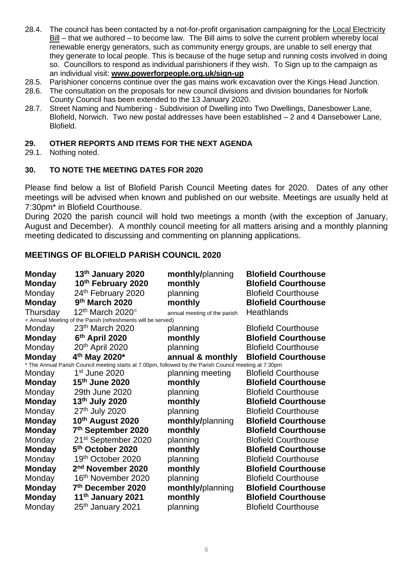- 28.4. The council has been contacted by a not-for-profit organisation campaigning for the [Local Electricity](https://powerforpeople.us20.list-manage.com/track/click?u=5679ba19405751dc710dc2037&id=5f012980b4&e=63847f081f)  [Bill](https://powerforpeople.us20.list-manage.com/track/click?u=5679ba19405751dc710dc2037&id=5f012980b4&e=63847f081f) – that we authored – to become law. The Bill aims to solve the current problem whereby local renewable energy generators, such as community energy groups, are unable to sell energy that they generate to local people. This is because of the huge setup and running costs involved in doing so. Councillors to respond as individual parishioners if they wish. To Sign up to the campaign as an individual visit: **[www.powerforpeople.org.uk/sign-up](https://powerforpeople.us20.list-manage.com/track/click?u=5679ba19405751dc710dc2037&id=978e1876c9&e=63847f081f)**
- 28.5. Parishioner concerns continue over the gas mains work excavation over the Kings Head Junction.
- 28.6. The consultation on the proposals for new council divisions and division boundaries for Norfolk County Council has been extended to the 13 January 2020.
- 28.7. Street Naming and Numbering Subdivision of Dwelling into Two Dwellings, Danesbower Lane, Blofield, Norwich. Two new postal addresses have been established – 2 and 4 Dansebower Lane, Blofield.

## **29. OTHER REPORTS AND ITEMS FOR THE NEXT AGENDA**

29.1. Nothing noted.

## **30. TO NOTE THE MEETING DATES FOR 2020**

Please find below a list of Blofield Parish Council Meeting dates for 2020. Dates of any other meetings will be advised when known and published on our website. Meetings are usually held at 7:30pm\* in Blofield Courthouse.

During 2020 the parish council will hold two meetings a month (with the exception of January, August and December). A monthly council meeting for all matters arising and a monthly planning meeting dedicated to discussing and commenting on planning applications.

# **MEETINGS OF BLOFIELD PARISH COUNCIL 2020**

| <b>Monday</b>                                                                                          | 13th January 2020               | monthly/planning             | <b>Blofield Courthouse</b> |
|--------------------------------------------------------------------------------------------------------|---------------------------------|------------------------------|----------------------------|
| <b>Monday</b>                                                                                          | 10th February 2020              | monthly                      | <b>Blofield Courthouse</b> |
| Monday                                                                                                 | 24th February 2020              | planning                     | <b>Blofield Courthouse</b> |
| <b>Monday</b>                                                                                          | 9th March 2020                  | monthly                      | <b>Blofield Courthouse</b> |
| Thursday                                                                                               | $12th$ March 2020=              | annual meeting of the parish | <b>Heathlands</b>          |
| = Annual Meeting of the Parish (refreshments will be served)                                           |                                 |                              |                            |
| Monday                                                                                                 | 23th March 2020                 | planning                     | <b>Blofield Courthouse</b> |
| <b>Monday</b>                                                                                          | 6th April 2020                  | monthly                      | <b>Blofield Courthouse</b> |
| Monday                                                                                                 | 20 <sup>th</sup> April 2020     | planning                     | <b>Blofield Courthouse</b> |
| <b>Monday</b>                                                                                          | 4 <sup>th</sup> May 2020*       | annual & monthly             | <b>Blofield Courthouse</b> |
| * The Annual Parish Council meeting starts at 7.00pm, followed by the Parish Council meeting at 7:30pm |                                 |                              |                            |
| Monday                                                                                                 | 1 <sup>st</sup> June 2020       | planning meeting             | <b>Blofield Courthouse</b> |
| <b>Monday</b>                                                                                          | 15th June 2020                  | monthly                      | <b>Blofield Courthouse</b> |
| Monday                                                                                                 | 29th June 2020                  | planning                     | <b>Blofield Courthouse</b> |
| <b>Monday</b>                                                                                          | 13th July 2020                  | monthly                      | <b>Blofield Courthouse</b> |
| Monday                                                                                                 | 27th July 2020                  | planning                     | <b>Blofield Courthouse</b> |
| <b>Monday</b>                                                                                          | 10th August 2020                | monthly/planning             | <b>Blofield Courthouse</b> |
| <b>Monday</b>                                                                                          | 7th September 2020              | monthly                      | <b>Blofield Courthouse</b> |
| Monday                                                                                                 | 21 <sup>st</sup> September 2020 | planning                     | <b>Blofield Courthouse</b> |
| <b>Monday</b>                                                                                          | 5 <sup>th</sup> October 2020    | monthly                      | <b>Blofield Courthouse</b> |
| Monday                                                                                                 | 19 <sup>th</sup> October 2020   | planning                     | <b>Blofield Courthouse</b> |
| <b>Monday</b>                                                                                          | 2 <sup>nd</sup> November 2020   | monthly                      | <b>Blofield Courthouse</b> |
| Monday                                                                                                 | 16 <sup>th</sup> November 2020  | planning                     | <b>Blofield Courthouse</b> |
| <b>Monday</b>                                                                                          | 7th December 2020               | monthly/planning             | <b>Blofield Courthouse</b> |
| <b>Monday</b>                                                                                          | 11 <sup>th</sup> January 2021   | monthly                      | <b>Blofield Courthouse</b> |
| Monday                                                                                                 | 25 <sup>th</sup> January 2021   | planning                     | <b>Blofield Courthouse</b> |